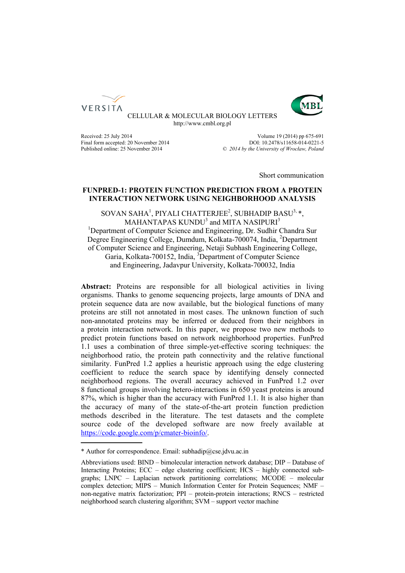



CELLULAR & MOLECULAR BIOLOGY LETTERS http://www.cmbl.org.pl

Final form accepted: 20 November 2014<br>Published online: 25 November 2014

Received: 25 July 2014 Volume 19 (2014) pp 675-691<br>Final form accepted: 20 November 2014 DOI: 10.2478/s11658-014-0221-5 Published online: 25 November 2014 *© 2014 by the University of Wrocław, Poland*

Short communication

# **FUNPRED-1: PROTEIN FUNCTION PREDICTION FROM A PROTEIN INTERACTION NETWORK USING NEIGHBORHOOD ANALYSIS**

SOVAN SAHA<sup>1</sup>, PIYALI CHATTERJEE<sup>2</sup>, SUBHADIP BASU<sup>3, \*</sup>, MAHANTAPAS  $KUNDU<sup>3</sup>$  and MITA NASIPURI $^3$ 

<sup>1</sup>Department of Computer Science and Engineering, Dr. Sudhir Chandra Sur Degree Engineering College, Dumdum, Kolkata-700074, India, <sup>2</sup>Department of Computer Science and Engineering, Netaji Subhash Engineering College, Garia, Kolkata-700152, India, <sup>3</sup>Department of Computer Science and Engineering, Jadavpur University, Kolkata-700032, India

**Abstract:** Proteins are responsible for all biological activities in living organisms. Thanks to genome sequencing projects, large amounts of DNA and protein sequence data are now available, but the biological functions of many proteins are still not annotated in most cases. The unknown function of such non-annotated proteins may be inferred or deduced from their neighbors in a protein interaction network. In this paper, we propose two new methods to predict protein functions based on network neighborhood properties. FunPred 1.1 uses a combination of three simple-yet-effective scoring techniques: the neighborhood ratio, the protein path connectivity and the relative functional similarity. FunPred 1.2 applies a heuristic approach using the edge clustering coefficient to reduce the search space by identifying densely connected neighborhood regions. The overall accuracy achieved in FunPred 1.2 over 8 functional groups involving hetero-interactions in 650 yeast proteins is around 87%, which is higher than the accuracy with FunPred 1.1. It is also higher than the accuracy of many of the state-of-the-art protein function prediction methods described in the literature. The test datasets and the complete source code of the developed software are now freely available at https://code.google.com/p/cmater-bioinfo/.

<sup>\*</sup> Author for correspondence. Email: subhadip@cse.jdvu.ac.in

Abbreviations used: BIND – bimolecular interaction network database; DIP – Database of Interacting Proteins; ECC – edge clustering coefficient; HCS – highly connected subgraphs; LNPC – Laplacian network partitioning correlations; MCODE – molecular complex detection; MIPS – Munich Information Center for Protein Sequences; NMF – non-negative matrix factorization; PPI – protein-protein interactions; RNCS – restricted neighborhood search clustering algorithm; SVM – support vector machine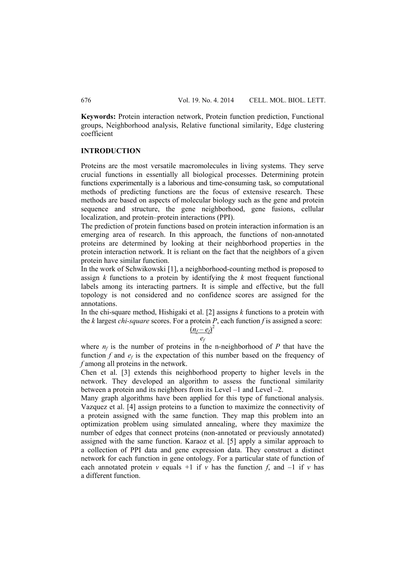**Keywords:** Protein interaction network, Protein function prediction, Functional groups, Neighborhood analysis, Relative functional similarity, Edge clustering coefficient

## **INTRODUCTION**

Proteins are the most versatile macromolecules in living systems. They serve crucial functions in essentially all biological processes. Determining protein functions experimentally is a laborious and time-consuming task, so computational methods of predicting functions are the focus of extensive research. These methods are based on aspects of molecular biology such as the gene and protein sequence and structure, the gene neighborhood, gene fusions, cellular localization, and protein–protein interactions (PPI).

The prediction of protein functions based on protein interaction information is an emerging area of research. In this approach, the functions of non-annotated proteins are determined by looking at their neighborhood properties in the protein interaction network. It is reliant on the fact that the neighbors of a given protein have similar function.

In the work of Schwikowski [1], a neighborhood-counting method is proposed to assign *k* functions to a protein by identifying the *k* most frequent functional labels among its interacting partners. It is simple and effective, but the full topology is not considered and no confidence scores are assigned for the annotations.

In the chi-square method, Hishigaki et al. [2] assigns *k* functions to a protein with the *k* largest *chi-square* scores. For a protein *P*, each function *f* is assigned a score:

 $(n_f - e_f)^2$ *ef*

where  $n_f$  is the number of proteins in the n-neighborhood of  $P$  that have the function  $f$  and  $e_f$  is the expectation of this number based on the frequency of *f* among all proteins in the network.

Chen et al. [3] extends this neighborhood property to higher levels in the network. They developed an algorithm to assess the functional similarity between a protein and its neighbors from its Level –1 and Level –2.

Many graph algorithms have been applied for this type of functional analysis. Vazquez et al. [4] assign proteins to a function to maximize the connectivity of a protein assigned with the same function. They map this problem into an optimization problem using simulated annealing, where they maximize the number of edges that connect proteins (non-annotated or previously annotated) assigned with the same function. Karaoz et al. [5] apply a similar approach to a collection of PPI data and gene expression data. They construct a distinct network for each function in gene ontology. For a particular state of function of each annotated protein  $v$  equals  $+1$  if  $v$  has the function  $f$ , and  $-1$  if  $v$  has a different function.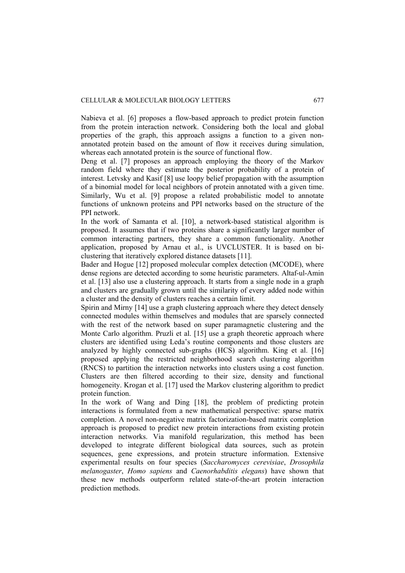Nabieva et al. [6] proposes a flow-based approach to predict protein function from the protein interaction network. Considering both the local and global properties of the graph, this approach assigns a function to a given nonannotated protein based on the amount of flow it receives during simulation, whereas each annotated protein is the source of functional flow.

Deng et al. [7] proposes an approach employing the theory of the Markov random field where they estimate the posterior probability of a protein of interest. Letvsky and Kasif [8] use loopy belief propagation with the assumption of a binomial model for local neighbors of protein annotated with a given time. Similarly, Wu et al. [9] propose a related probabilistic model to annotate functions of unknown proteins and PPI networks based on the structure of the PPI network.

In the work of Samanta et al. [10], a network-based statistical algorithm is proposed. It assumes that if two proteins share a significantly larger number of common interacting partners, they share a common functionality. Another application, proposed by Arnau et al., is UVCLUSTER. It is based on biclustering that iteratively explored distance datasets [11].

Bader and Hogue [12] proposed molecular complex detection (MCODE), where dense regions are detected according to some heuristic parameters. Altaf-ul-Amin et al. [13] also use a clustering approach. It starts from a single node in a graph and clusters are gradually grown until the similarity of every added node within a cluster and the density of clusters reaches a certain limit.

Spirin and Mirny [14] use a graph clustering approach where they detect densely connected modules within themselves and modules that are sparsely connected with the rest of the network based on super paramagnetic clustering and the Monte Carlo algorithm. Pruzli et al. [15] use a graph theoretic approach where clusters are identified using Leda's routine components and those clusters are analyzed by highly connected sub-graphs (HCS) algorithm. King et al. [16] proposed applying the restricted neighborhood search clustering algorithm (RNCS) to partition the interaction networks into clusters using a cost function. Clusters are then filtered according to their size, density and functional homogeneity. Krogan et al. [17] used the Markov clustering algorithm to predict protein function.

In the work of Wang and Ding [18], the problem of predicting protein interactions is formulated from a new mathematical perspective: sparse matrix completion. A novel non-negative matrix factorization-based matrix completion approach is proposed to predict new protein interactions from existing protein interaction networks. Via manifold regularization, this method has been developed to integrate different biological data sources, such as protein sequences, gene expressions, and protein structure information. Extensive experimental results on four species (*Saccharomyces cerevisiae*, *Drosophila melanogaster*, *Homo sapiens* and *Caenorhabditis elegans*) have shown that these new methods outperform related state-of-the-art protein interaction prediction methods.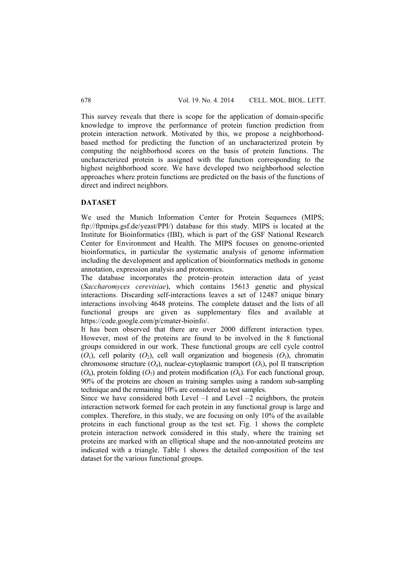This survey reveals that there is scope for the application of domain-specific knowledge to improve the performance of protein function prediction from protein interaction network. Motivated by this, we propose a neighborhoodbased method for predicting the function of an uncharacterized protein by computing the neighborhood scores on the basis of protein functions. The uncharacterized protein is assigned with the function corresponding to the highest neighborhood score. We have developed two neighborhood selection approaches where protein functions are predicted on the basis of the functions of direct and indirect neighbors.

## **DATASET**

We used the Munich Information Center for Protein Sequences (MIPS; ftp://ftpmips.gsf.de/yeast/PPI/) database for this study. MIPS is located at the Institute for Bioinformatics (IBI), which is part of the GSF National Research Center for Environment and Health. The MIPS focuses on genome-oriented bioinformatics, in particular the systematic analysis of genome information including the development and application of bioinformatics methods in genome annotation, expression analysis and proteomics.

The database incorporates the protein–protein interaction data of yeast (*Saccharomyces cerevisiae*), which contains 15613 genetic and physical interactions. Discarding self-interactions leaves a set of 12487 unique binary interactions involving 4648 proteins. The complete dataset and the lists of all functional groups are given as supplementary files and available at https://code.google.com/p/cmater-bioinfo/.

It has been observed that there are over 2000 different interaction types. However, most of the proteins are found to be involved in the 8 functional groups considered in our work. These functional groups are cell cycle control  $(O_1)$ , cell polarity  $(O_2)$ , cell wall organization and biogenesis  $(O_3)$ , chromatin chromosome structure  $(O_4)$ , nuclear-cytoplasmic transport  $(O_5)$ , pol II transcription  $(O<sub>6</sub>)$ , protein folding  $(O<sub>7</sub>)$  and protein modification  $(O<sub>8</sub>)$ . For each functional group, 90% of the proteins are chosen as training samples using a random sub-sampling technique and the remaining 10% are considered as test samples.

Since we have considered both Level  $-1$  and Level  $-2$  neighbors, the protein interaction network formed for each protein in any functional group is large and complex. Therefore, in this study, we are focusing on only 10% of the available proteins in each functional group as the test set. Fig. 1 shows the complete protein interaction network considered in this study, where the training set proteins are marked with an elliptical shape and the non-annotated proteins are indicated with a triangle. Table 1 shows the detailed composition of the test dataset for the various functional groups.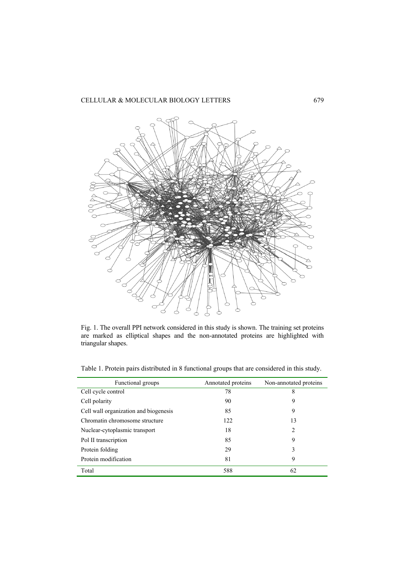

Fig. 1. The overall PPI network considered in this study is shown. The training set proteins are marked as elliptical shapes and the non-annotated proteins are highlighted with triangular shapes.

|  |  |  | Table 1. Protein pairs distributed in 8 functional groups that are considered in this study. |  |
|--|--|--|----------------------------------------------------------------------------------------------|--|
|  |  |  |                                                                                              |  |

| Functional groups                     | Annotated proteins | Non-annotated proteins |
|---------------------------------------|--------------------|------------------------|
| Cell cycle control                    | 78                 | 8                      |
| Cell polarity                         | 90                 | 9                      |
| Cell wall organization and biogenesis | 85                 | 9                      |
| Chromatin chromosome structure        | 122                | 13                     |
| Nuclear-cytoplasmic transport         | 18                 | 2                      |
| Pol II transcription                  | 85                 | 9                      |
| Protein folding                       | 29                 | 3                      |
| Protein modification                  | 81                 | 9                      |
| Total                                 | 588                | 62                     |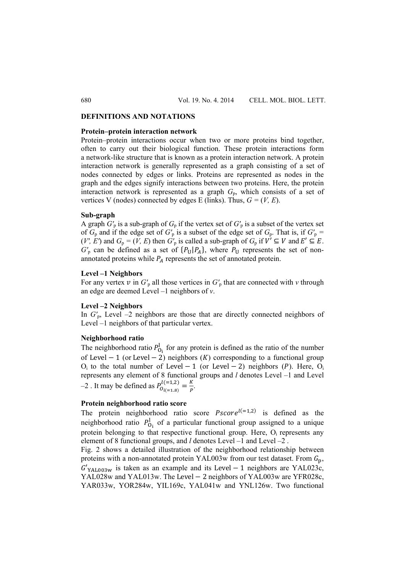## **DEFINITIONS AND NOTATIONS**

#### **Protein–protein interaction network**

Protein–protein interactions occur when two or more proteins bind together, often to carry out their biological function. These protein interactions form a network-like structure that is known as a protein interaction network. A protein interaction network is generally represented as a graph consisting of a set of nodes connected by edges or links. Proteins are represented as nodes in the graph and the edges signify interactions between two proteins. Here, the protein interaction network is represented as a graph  $G_p$ , which consists of a set of vertices V (nodes) connected by edges E (links). Thus,  $G = (V, E)$ .

#### **Sub-graph**

A graph  $G'_{p}$  is a sub-graph of  $G_{p}$  if the vertex set of  $G'_{p}$  is a subset of the vertex set of  $G_p$  and if the edge set of  $G_p'$  is a subset of the edge set of  $G_p$ . That is, if  $G_p' =$  $(V', E')$  and  $G_p = (V, E)$  then  $G'_p$  is called a sub-graph of  $G_p$  if  $V' \subseteq V$  and  $E' \subseteq E$ .  $G'_{p}$  can be defined as a set of  $\{P_{U}|P_{A}\}$ , where  $P_{U}$  represents the set of nonannotated proteins while  $P_A$  represents the set of annotated protein.

#### **Level** *–***1 Neighbors**

For any vertex  $v$  in  $G'_p$  all those vertices in  $G'_p$  that are connected with  $v$  through an edge are deemed Level –1 neighbors of *v*.

## **Level** *–***2 Neighbors**

In  $G'_{p}$ , Level  $-2$  neighbors are those that are directly connected neighbors of Level –1 neighbors of that particular vertex.

## **Neighborhood ratio**

The neighborhood ratio  $P_{O_i}^1$  for any protein is defined as the ratio of the number of Level  $-1$  (or Level  $-2$ ) neighbors (K) corresponding to a functional group  $O_i$  to the total number of Level – 1 (or Level – 2) neighbors (P). Here,  $O_i$ represents any element of 8 functional groups and *l* denotes Level –1 and Level -2 . It may be defined as  $P_{O_{i(=1..8)}}^{l(=1,2)} = \frac{K}{P}$ .

## **Protein neighborhood ratio score**

The protein neighborhood ratio score  $Pscore^{l(=1,2)}$  is defined as the neighborhood ratio  $P_{\text{O}_i}^1$  of a particular functional group assigned to a unique protein belonging to that respective functional group. Here,  $O_i$  represents any element of 8 functional groups, and *l* denotes Level –1 and Level –2 .

Fig. 2 shows a detailed illustration of the neighborhood relationship between proteins with a non-annotated protein YAL003w from our test dataset. From  $G<sub>n</sub>$ ,  $G'_{\text{YAL003w}}$  is taken as an example and its Level – 1 neighbors are YAL023c, YAL028w and YAL013w. The Level  $-$  2 neighbors of YAL003w are YFR028c, YAR033w, YOR284w, YIL169c, YAL041w and YNL126w. Two functional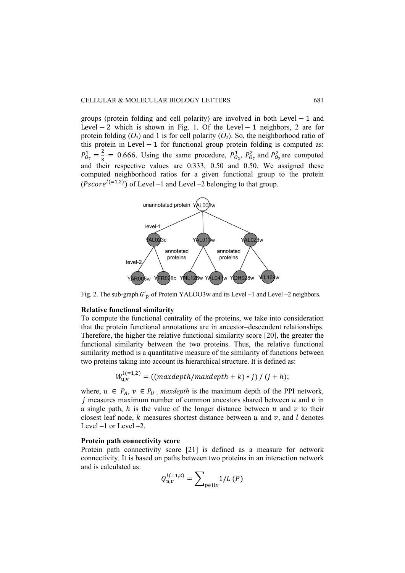groups (protein folding and cell polarity) are involved in both Level  $-1$  and Level  $-2$  which is shown in Fig. 1. Of the Level  $-1$  neighbors, 2 are for protein folding  $(O_7)$  and 1 is for cell polarity  $(O_2)$ . So, the neighborhood ratio of this protein in Level  $-1$  for functional group protein folding is computed as:  $P_{0_7}^1 = \frac{2}{3} = 0.666$ . Using the same procedure,  $P_{0_2}^1$ ,  $P_{0_7}^2$  and  $P_{0_2}^2$  are computed and their respective values are 0.333, 0.50 and 0.50. We assigned these computed neighborhood ratios for a given functional group to the protein (Pscore<sup>l(=1,2)</sup>) of Level –1 and Level –2 belonging to that group.



Fig. 2. The sub-graph  $G'_p$  of Protein YALOO3w and its Level –1 and Level –2 neighbors.

## **Relative functional similarity**

To compute the functional centrality of the proteins, we take into consideration that the protein functional annotations are in ancestor–descendent relationships. Therefore, the higher the relative functional similarity score [20], the greater the functional similarity between the two proteins. Thus, the relative functional similarity method is a quantitative measure of the similarity of functions between two proteins taking into account its hierarchical structure. It is defined as:

$$
W_{u,v}^{l(=1,2)} = ((maxdepth/maxdepth + k) * j) / (j + h);
$$

where,  $u \in P_A$ ,  $v \in P_U$ , *maxdepth* is the maximum depth of the PPI network, *j* measures maximum number of common ancestors shared between  $u$  and  $v$  in a single path, h is the value of the longer distance between u and v to their closest leaf node,  $k$  measures shortest distance between  $u$  and  $v$ , and  $l$  denotes Level –1 or Level –2.

#### **Protein path connectivity score**

Protein path connectivity score [21] is defined as a measure for network connectivity. It is based on paths between two proteins in an interaction network and is calculated as:

$$
Q_{u,v}^{l(=1,2)} = \sum\nolimits_{p \in \mathrm{U}x} 1/L\ (P)
$$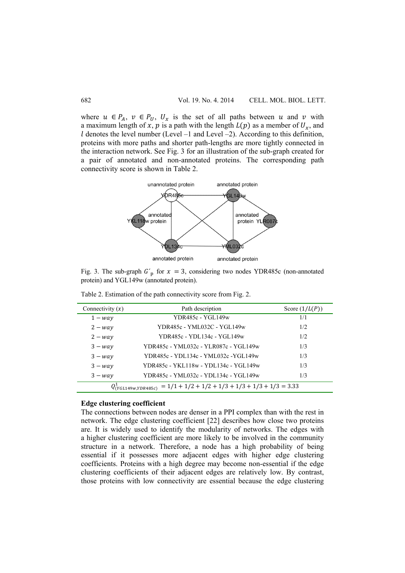where  $u \in P_A$ ,  $v \in P_U$ ,  $U_x$  is the set of all paths between u and v with a maximum length of x, p is a path with the length  $L(p)$  as a member of  $U_x$ , and  $l$  denotes the level number (Level –1 and Level –2). According to this definition, proteins with more paths and shorter path-lengths are more tightly connected in the interaction network. See Fig. 3 for an illustration of the sub-graph created for a pair of annotated and non-annotated proteins. The corresponding path connectivity score is shown in Table 2.



Fig. 3. The sub-graph  $G'_p$  for  $x = 3$ , considering two nodes YDR485c (non-annotated protein) and YGL149w (annotated protein).

| Connectivity $(x)$                                                           | Path description                      | Score $(1/L(P))$ |  |
|------------------------------------------------------------------------------|---------------------------------------|------------------|--|
| $1 - way$                                                                    | YDR485c - YGL149w                     | 1/1              |  |
| $2 - way$                                                                    | YDR485c - YML032C - YGL149w           | 1/2              |  |
| $2 - way$                                                                    | YDR485c - YDL134c - YGL149w           | 1/2              |  |
| $3 - way$                                                                    | YDR485c - YML032c - YLR087c - YGL149w | 1/3              |  |
| $3 - way$                                                                    | YDR485c - YDL134c - YML032c -YGL149w  | 1/3              |  |
| $3 - way$                                                                    | YDR485c - YKL118w - YDL134c - YGL149w | 1/3              |  |
| $3 - way$                                                                    | YDR485c - YML032c - YDL134c - YGL149w | 1/3              |  |
| $Q_{(YGL149W,YDR485c)}^{1} = 1/1 + 1/2 + 1/2 + 1/3 + 1/3 + 1/3 + 1/3 = 3.33$ |                                       |                  |  |

Table 2. Estimation of the path connectivity score from Fig. 2.

## **Edge clustering coefficient**

The connections between nodes are denser in a PPI complex than with the rest in network. The edge clustering coefficient [22] describes how close two proteins are. It is widely used to identify the modularity of networks. The edges with a higher clustering coefficient are more likely to be involved in the community structure in a network. Therefore, a node has a high probability of being essential if it possesses more adjacent edges with higher edge clustering coefficients. Proteins with a high degree may become non-essential if the edge clustering coefficients of their adjacent edges are relatively low. By contrast, those proteins with low connectivity are essential because the edge clustering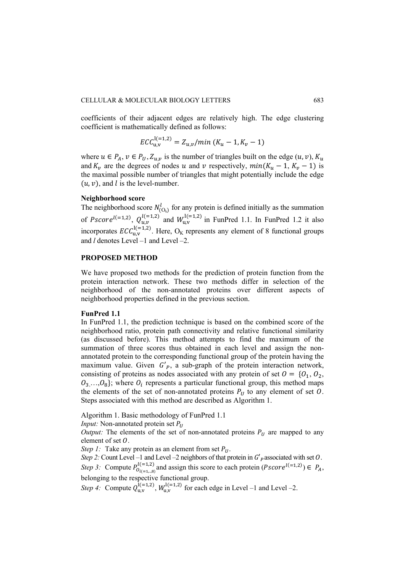coefficients of their adjacent edges are relatively high. The edge clustering coefficient is mathematically defined as follows:

$$
ECC_{u,v}^{l(=1,2)} = Z_{u,v}/min (K_u - 1, K_v - 1)
$$

where  $u \in P_A$ ,  $v \in P_U$ ,  $Z_{u,v}$  is the number of triangles built on the edge  $(u, v)$ ,  $K_u$ and  $K_v$  are the degrees of nodes u and v respectively,  $min(K_u - 1, K_v - 1)$  is the maximal possible number of triangles that might potentially include the edge  $(u, v)$ , and *l* is the level-number.

#### **Neighborhood score**

The neighborhood score  $N^l_{(O_k)}$  for any protein is defined initially as the summation of Pscore<sup>l(=1,2)</sup>,  $Q_{u,v}^{l(=1,2)}$  and  $W_{u,v}^{l(=1,2)}$  in FunPred 1.1. In FunPred 1.2 it also incorporates  $\mathit{ECC}_{u,v}^{l(=1,2)}$ . Here, O<sub>K</sub> represents any element of 8 functional groups and *l* denotes Level –1 and Level –2.

## **PROPOSED METHOD**

We have proposed two methods for the prediction of protein function from the protein interaction network. These two methods differ in selection of the neighborhood of the non-annotated proteins over different aspects of neighborhood properties defined in the previous section.

### **FunPred 1.1**

In FunPred 1.1, the prediction technique is based on the combined score of the neighborhood ratio, protein path connectivity and relative functional similarity (as discussed before). This method attempts to find the maximum of the summation of three scores thus obtained in each level and assign the nonannotated protein to the corresponding functional group of the protein having the maximum value. Given  $G'_{P}$ , a sub-graph of the protein interaction network, consisting of proteins as nodes associated with any protein of set  $0 = \{0_1, 0_2, \dots, 0_N\}$  $O_3, \ldots, O_8$ ; where  $O_i$  represents a particular functional group, this method maps the elements of the set of non-annotated proteins  $P_U$  to any element of set O. Steps associated with this method are described as Algorithm 1.

Algorithm 1. Basic methodology of FunPred 1.1

*Input:* Non-annotated protein set  $P_{II}$ 

*Output:* The elements of the set of non-annotated proteins  $P_U$  are mapped to any element of set  $O$ .

*Step 1:* Take any protein as an element from set  $P_{II}$ .

*Step 2:* Count Level –1 and Level –2 neighbors of that protein in  $G'_{P}$  associated with set  $O$ . *Step 3:* Compute  $P_{O_{i(=1...8)}}^{l(=1,2)}$  and assign this score to each protein (*Pscore*<sup> $l(=1,2)$ </sup>)  $\in$   $P_A$ , belonging to the respective functional group.

*Step 4:* Compute  $Q_{u,v}^{l(=1,2)}$ ,  $W_{u,v}^{l(=1,2)}$  for each edge in Level –1 and Level –2.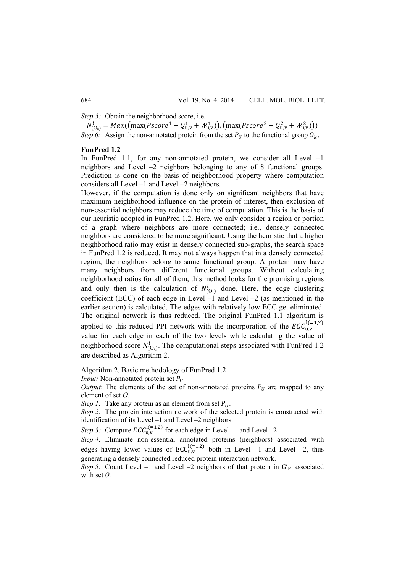*Step 5:* Obtain the neighborhood score, i.e.

 $N_{(\mathrm{O_k})}^l = Max((\max(Pscore^1 + Q_{\mathrm{u,v}}^1 + W_{\mathrm{u,v}}^1)), (\max(Pscore^2 + Q_{\mathrm{u,v}}^2 + W_{\mathrm{u,v}}^2)))$ *Step 6:* Assign the non-annotated protein from the set  $P_U$  to the functional group  $O_k$ .

#### **FunPred 1.2**

In FunPred 1.1, for any non-annotated protein, we consider all Level –1 neighbors and Level –2 neighbors belonging to any of 8 functional groups. Prediction is done on the basis of neighborhood property where computation considers all Level –1 and Level –2 neighbors.

However, if the computation is done only on significant neighbors that have maximum neighborhood influence on the protein of interest, then exclusion of non-essential neighbors may reduce the time of computation. This is the basis of our heuristic adopted in FunPred 1.2. Here, we only consider a region or portion of a graph where neighbors are more connected; i.e., densely connected neighbors are considered to be more significant. Using the heuristic that a higher neighborhood ratio may exist in densely connected sub-graphs, the search space in FunPred 1.2 is reduced. It may not always happen that in a densely connected region, the neighbors belong to same functional group. A protein may have many neighbors from different functional groups. Without calculating neighborhood ratios for all of them, this method looks for the promising regions and only then is the calculation of  $N_{(O_k)}^l$  done. Here, the edge clustering coefficient (ECC) of each edge in Level  $-1$  and Level  $-2$  (as mentioned in the earlier section) is calculated. The edges with relatively low ECC get eliminated. The original network is thus reduced. The original FunPred 1.1 algorithm is applied to this reduced PPI network with the incorporation of the  $\textit{ECC}_{u,v}^{l(=1,2)}$ value for each edge in each of the two levels while calculating the value of neighborhood score  $N_{(O_k)}^l$ . The computational steps associated with FunPred 1.2 are described as Algorithm 2.

Algorithm 2. Basic methodology of FunPred 1.2

*Input:* Non-annotated protein set  $P_{II}$ 

*Output*: The elements of the set of non-annotated proteins  $P_U$  are mapped to any element of set *O*.

*Step 1:* Take any protein as an element from set  $P_U$ .

*Step 2:* The protein interaction network of the selected protein is constructed with identification of its Level –1 and Level –2 neighbors.

*Step 3:* Compute  $ECC_{u,v}^{l(=1,2)}$  for each edge in Level –1 and Level –2.

*Step 4:* Eliminate non-essential annotated proteins (neighbors) associated with edges having lower values of  $ECC_{u,v}^{l(=1,2)}$  both in Level  $-1$  and Level  $-2$ , thus generating a densely connected reduced protein interaction network.

*Step 5:* Count Level –1 and Level –2 neighbors of that protein in  $G'_{P}$  associated with set  $O$ .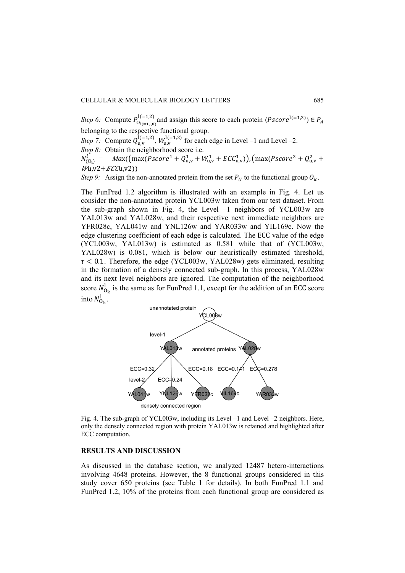*Step 6:* Compute  $P_{O_{i(-1, n, 8)}}^{l(-1, 2)}$  and assign this score to each protein (*Pscore*<sup>1(=1,2)</sup>)  $\in P_A$ belonging to the respective functional group.

*Step 7:* Compute  $Q_{u,v}^{l(=1,2)}$ ,  $W_{u,v}^{l(=1,2)}$  for each edge in Level –1 and Level –2.

*Step 8:* Obtain the neighborhood score i.e.

 $N_{(O_k)}^l =$   $Max((max(Pscore^1 + Q_{u,v}^1 + W_{u,v}^1 + ECC_{u,v}^1))$ ,  $(max(Pscore^2 + Q_{u,v}^2 + Q_{u,v}^2 + Q_{u,v}^2))$  $Wu,v2+ECCu,v2)$ 

*Step 9:* Assign the non-annotated protein from the set  $P_U$  to the functional group  $Q_k$ .

The FunPred 1.2 algorithm is illustrated with an example in Fig. 4. Let us consider the non-annotated protein YCL003w taken from our test dataset. From the sub-graph shown in Fig. 4, the Level –1 neighbors of YCL003w are YAL013w and YAL028w, and their respective next immediate neighbors are YFR028c, YAL041w and YNL126w and YAR033w and YIL169c. Now the edge clustering coefficient of each edge is calculated. The ECC value of the edge (YCL003w, YAL013w) is estimated as 0.581 while that of (YCL003w, YAL028w) is 0.081, which is below our heuristically estimated threshold,  $\tau$  < 0.1. Therefore, the edge (YCL003w, YAL028w) gets eliminated, resulting in the formation of a densely connected sub-graph. In this process, YAL028w and its next level neighbors are ignored. The computation of the neighborhood score  $N_{O_k}^1$  is the same as for FunPred 1.1, except for the addition of an ECC score into  $N_{O_{k}}^{1}$ .



Fig. 4. The sub-graph of YCL003w, including its Level –1 and Level –2 neighbors. Here, only the densely connected region with protein YAL013w is retained and highlighted after ECC computation.

## **RESULTS AND DISCUSSION**

As discussed in the database section, we analyzed 12487 hetero-interactions involving 4648 proteins. However, the 8 functional groups considered in this study cover 650 proteins (see Table 1 for details). In both FunPred 1.1 and FunPred 1.2, 10% of the proteins from each functional group are considered as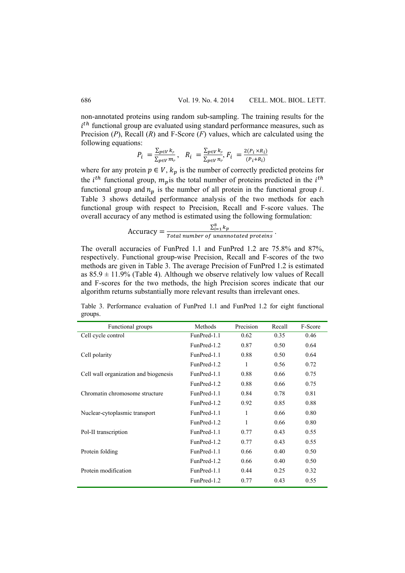non-annotated proteins using random sub-sampling. The training results for the  $i<sup>th</sup>$  functional group are evaluated using standard performance measures, such as Precision (*P*), Recall (*R*) and F-Score (*F*) values, which are calculated using the following equations:

$$
P_i = \frac{\sum_{p \in V} k_p}{\sum_{p \in V} m_p}, \quad R_i = \frac{\sum_{p \in V} k_p}{\sum_{p \in V} n_p}, \quad F_i = \frac{2(P_i \times R_i)}{(P_i + R_i)}
$$

where for any protein  $p \in V$ ,  $k_p$  is the number of correctly predicted proteins for the *i*<sup>th</sup> functional group,  $m_p$  is the total number of proteins predicted in the *i*<sup>th</sup> functional group and  $n_p$  is the number of all protein in the functional group *i*. Table 3 shows detailed performance analysis of the two methods for each functional group with respect to Precision, Recall and F-score values. The overall accuracy of any method is estimated using the following formulation:

$$
Accuracy = \frac{\sum_{i=1}^{8} k_p}{Total number of unannotated proteins}.
$$

The overall accuracies of FunPred 1.1 and FunPred 1.2 are 75.8% and 87%, respectively. Functional group-wise Precision, Recall and F-scores of the two methods are given in Table 3. The average Precision of FunPred 1.2 is estimated as  $85.9 \pm 11.9\%$  (Table 4). Although we observe relatively low values of Recall and F-scores for the two methods, the high Precision scores indicate that our algorithm returns substantially more relevant results than irrelevant ones.

| Functional groups                     | Methods     | Precision | Recall | F-Score |
|---------------------------------------|-------------|-----------|--------|---------|
| Cell cycle control                    | FunPred-1.1 | 0.62      | 0.35   | 0.46    |
|                                       | FunPred-1.2 | 0.87      | 0.50   | 0.64    |
| Cell polarity                         | FunPred-1.1 | 0.88      | 0.50   | 0.64    |
|                                       | FunPred-1.2 | 1         | 0.56   | 0.72    |
| Cell wall organization and biogenesis | FunPred-1.1 | 0.88      | 0.66   | 0.75    |
|                                       | FunPred-1.2 | 0.88      | 0.66   | 0.75    |
| Chromatin chromosome structure        | FunPred-1.1 | 0.84      | 0.78   | 0.81    |
|                                       | FunPred-1.2 | 0.92      | 0.85   | 0.88    |
| Nuclear-cytoplasmic transport         | FunPred-1.1 | 1         | 0.66   | 0.80    |
|                                       | FunPred-1.2 | 1         | 0.66   | 0.80    |
| Pol-II transcription                  | FunPred-1.1 | 0.77      | 0.43   | 0.55    |
|                                       | FunPred-1.2 | 0.77      | 0.43   | 0.55    |
| Protein folding                       | FunPred-1.1 | 0.66      | 0.40   | 0.50    |
|                                       | FunPred-1.2 | 0.66      | 0.40   | 0.50    |
| Protein modification                  | FunPred-1.1 | 0.44      | 0.25   | 0.32    |
|                                       | FunPred-1.2 | 0.77      | 0.43   | 0.55    |
|                                       |             |           |        |         |

Table 3. Performance evaluation of FunPred 1.1 and FunPred 1.2 for eight functional groups.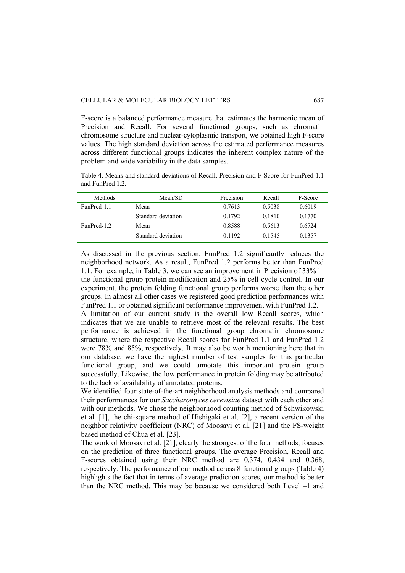### CELLULAR & MOLECULAR BIOLOGY LETTERS 687

F-score is a balanced performance measure that estimates the harmonic mean of Precision and Recall. For several functional groups, such as chromatin chromosome structure and nuclear-cytoplasmic transport, we obtained high F-score values. The high standard deviation across the estimated performance measures across different functional groups indicates the inherent complex nature of the problem and wide variability in the data samples.

Table 4. Means and standard deviations of Recall, Precision and F-Score for FunPred 1.1 and FunPred 1.2.

| Methods     | Mean/SD            | Precision | Recall | F-Score |
|-------------|--------------------|-----------|--------|---------|
| FunPred-1.1 | Mean               | 0.7613    | 0.5038 | 0.6019  |
|             | Standard deviation | 0.1792    | 0.1810 | 0.1770  |
| FunPred-1.2 | Mean               | 0.8588    | 0.5613 | 0.6724  |
|             | Standard deviation | 0.1192    | 0.1545 | 0.1357  |

As discussed in the previous section, FunPred 1.2 significantly reduces the neighborhood network. As a result, FunPred 1.2 performs better than FunPred 1.1. For example, in Table 3, we can see an improvement in Precision of 33% in the functional group protein modification and 25% in cell cycle control. In our experiment, the protein folding functional group performs worse than the other groups. In almost all other cases we registered good prediction performances with FunPred 1.1 or obtained significant performance improvement with FunPred 1.2.

A limitation of our current study is the overall low Recall scores, which indicates that we are unable to retrieve most of the relevant results. The best performance is achieved in the functional group chromatin chromosome structure, where the respective Recall scores for FunPred 1.1 and FunPred 1.2 were 78% and 85%, respectively. It may also be worth mentioning here that in our database, we have the highest number of test samples for this particular functional group, and we could annotate this important protein group successfully. Likewise, the low performance in protein foldin*g* may be attributed to the lack of availability of annotated proteins.

We identified four state-of-the-art neighborhood analysis methods and compared their performances for our *Saccharomyces cerevisiae* dataset with each other and with our methods. We chose the neighborhood counting method of Schwikowski et al. [1], the chi-square method of Hishigaki et al. [2], a recent version of the neighbor relativity coefficient (NRC) of Moosavi et al. [21] and the FS-weight based method of Chua et al. [23].

The work of Moosavi et al. [21], clearly the strongest of the four methods, focuses on the prediction of three functional groups. The average Precision, Recall and F-scores obtained using their NRC method are 0.374, 0.434 and 0.368, respectively. The performance of our method across 8 functional groups (Table 4) highlights the fact that in terms of average prediction scores, our method is better than the NRC method. This may be because we considered both Level –1 and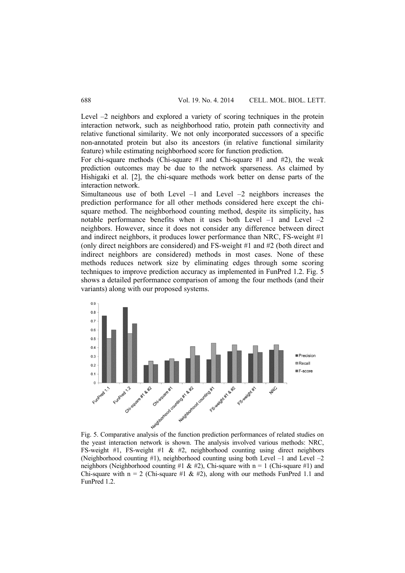Level –2 neighbors and explored a variety of scoring techniques in the protein interaction network, such as neighborhood ratio, protein path connectivity and relative functional similarity. We not only incorporated successors of a specific non-annotated protein but also its ancestors (in relative functional similarity feature) while estimating neighborhood score for function prediction.

For chi-square methods (Chi-square #1 and Chi-square #1 and #2), the weak prediction outcomes may be due to the network sparseness. As claimed by Hishigaki et al. [2], the chi-square methods work better on dense parts of the interaction network.

Simultaneous use of both Level –1 and Level –2 neighbors increases the prediction performance for all other methods considered here except the chisquare method. The neighborhood counting method, despite its simplicity, has notable performance benefits when it uses both Level  $-1$  and Level  $-2$ neighbors. However, since it does not consider any difference between direct and indirect neighbors, it produces lower performance than NRC, FS-weight #1 (only direct neighbors are considered) and FS-weight #1 and #2 (both direct and indirect neighbors are considered) methods in most cases. None of these methods reduces network size by eliminating edges through some scoring techniques to improve prediction accuracy as implemented in FunPred 1.2. Fig. 5 shows a detailed performance comparison of among the four methods (and their variants) along with our proposed systems.



Fig. 5. Comparative analysis of the function prediction performances of related studies on the yeast interaction network is shown. The analysis involved various methods: NRC, FS-weight #1, FS-weight #1  $\&$  #2, neighborhood counting using direct neighbors (Neighborhood counting  $#1$ ), neighborhood counting using both Level  $-1$  and Level  $-2$ neighbors (Neighborhood counting #1 & #2), Chi-square with  $n = 1$  (Chi-square #1) and Chi-square with  $n = 2$  (Chi-square #1 & #2), along with our methods FunPred 1.1 and FunPred 1.2.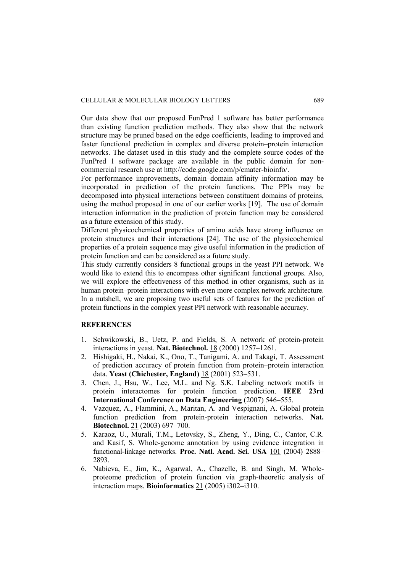# CELLULAR & MOLECULAR BIOLOGY LETTERS 689

Our data show that our proposed FunPred 1 software has better performance than existing function prediction methods. They also show that the network structure may be pruned based on the edge coefficients, leading to improved and faster functional prediction in complex and diverse protein–protein interaction networks. The dataset used in this study and the complete source codes of the FunPred 1 software package are available in the public domain for noncommercial research use at http://code.google.com/p/cmater-bioinfo/.

For performance improvements, domain–domain affinity information may be incorporated in prediction of the protein functions. The PPIs may be decomposed into physical interactions between constituent domains of proteins, using the method proposed in one of our earlier works [19]. The use of domain interaction information in the prediction of protein function may be considered as a future extension of this study.

Different physicochemical properties of amino acids have strong influence on protein structures and their interactions [24]. The use of the physicochemical properties of a protein sequence may give useful information in the prediction of protein function and can be considered as a future study.

This study currently considers 8 functional groups in the yeast PPI network. We would like to extend this to encompass other significant functional groups. Also, we will explore the effectiveness of this method in other organisms, such as in human protein–protein interactions with even more complex network architecture. In a nutshell, we are proposing two useful sets of features for the prediction of protein functions in the complex yeast PPI network with reasonable accuracy.

## **REFERENCES**

- 1. Schwikowski, B., Uetz, P. and Fields, S. A network of protein-protein interactions in yeast. **Nat. Biotechnol.** 18 (2000) 1257–1261.
- 2. Hishigaki, H., Nakai, K., Ono, T., Tanigami, A. and Takagi, T. Assessment of prediction accuracy of protein function from protein–protein interaction data. **Yeast (Chichester, England)** 18 (2001) 523–531.
- 3. Chen, J., Hsu, W., Lee, M.L. and Ng. S.K. Labeling network motifs in protein interactomes for protein function prediction. **IEEE 23rd International Conference on Data Engineering** (2007) 546–555.
- 4. Vazquez, A., Flammini, A., Maritan, A. and Vespignani, A. Global protein function prediction from protein-protein interaction networks. **Nat. Biotechnol.** 21 (2003) 697–700.
- 5. Karaoz, U., Murali, T.M., Letovsky, S., Zheng, Y., Ding, C., Cantor, C.R. and Kasif, S. Whole-genome annotation by using evidence integration in functional-linkage networks. **Proc. Natl. Acad. Sci. USA** 101 (2004) 2888– 2893.
- 6. Nabieva, E., Jim, K., Agarwal, A., Chazelle, B. and Singh, M. Wholeproteome prediction of protein function via graph-theoretic analysis of interaction maps. **Bioinformatics** 21 (2005) i302–i310.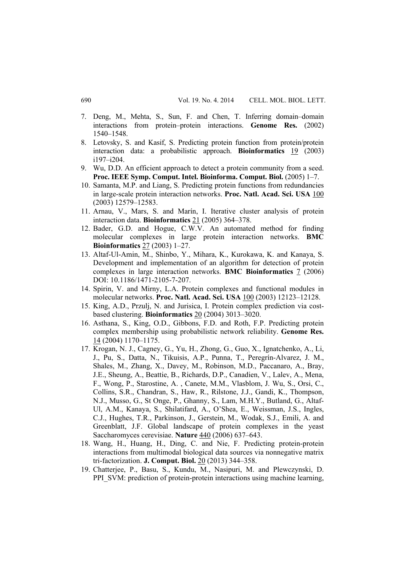- 7. Deng, M., Mehta, S., Sun, F. and Chen, T. Inferring domain–domain interactions from protein–protein interactions. **Genome Res.** (2002) 1540–1548.
- 8. Letovsky, S. and Kasif, S. Predicting protein function from protein/protein interaction data: a probabilistic approach. **Bioinformatics** 19 (2003) i197–i204.
- 9. Wu, D.D. An efficient approach to detect a protein community from a seed. **Proc. IEEE Symp. Comput. Intel. Bioinforma. Comput. Biol.** (2005) 1–7.
- 10. Samanta, M.P. and Liang, S. Predicting protein functions from redundancies in large-scale protein interaction networks. **Proc. Natl. Acad. Sci. USA** 100 (2003) 12579–12583.
- 11. Arnau, V., Mars, S. and Marín, I. Iterative cluster analysis of protein interaction data. **Bioinformatics** 21 (2005) 364–378.
- 12. Bader, G.D. and Hogue, C.W.V. An automated method for finding molecular complexes in large protein interaction networks. **BMC Bioinformatics** 27 (2003) 1–27.
- 13. Altaf-Ul-Amin, M., Shinbo, Y., Mihara, K., Kurokawa, K. and Kanaya, S. Development and implementation of an algorithm for detection of protein complexes in large interaction networks. **BMC Bioinformatics** 7 (2006) DOI: 10.1186/1471-2105-7-207.
- 14. Spirin, V. and Mirny, L.A. Protein complexes and functional modules in molecular networks. **Proc. Natl. Acad. Sci. USA** 100 (2003) 12123–12128.
- 15. King, A.D., Przulj, N. and Jurisica, I. Protein complex prediction via costbased clustering. **Bioinformatics** 20 (2004) 3013–3020.
- 16. Asthana, S., King, O.D., Gibbons, F.D. and Roth, F.P. Predicting protein complex membership using probabilistic network reliability. **Genome Res.** 14 (2004) 1170–1175.
- 17. Krogan, N. J., Cagney, G., Yu, H., Zhong, G., Guo, X., Ignatchenko, A., Li, J., Pu, S., Datta, N., Tikuisis, A.P., Punna, T., Peregrín-Alvarez, J. M., Shales, M., Zhang, X., Davey, M., Robinson, M.D., Paccanaro, A., Bray, J.E., Sheung, A., Beattie, B., Richards, D.P., Canadien, V., Lalev, A., Mena, F., Wong, P., Starostine, A. , Canete, M.M., Vlasblom, J. Wu, S., Orsi, C., Collins, S.R., Chandran, S., Haw, R., Rilstone, J.J., Gandi, K., Thompson, N.J., Musso, G., St Onge, P., Ghanny, S., Lam, M.H.Y., Butland, G., Altaf-Ul, A.M., Kanaya, S., Shilatifard, A., O'Shea, E., Weissman, J.S., Ingles, C.J., Hughes, T.R., Parkinson, J., Gerstein, M., Wodak, S.J., Emili, A. and Greenblatt, J.F. Global landscape of protein complexes in the yeast Saccharomyces cerevisiae. **Nature** 440 (2006) 637–643.
- 18. Wang, H., Huang, H., Ding, C. and Nie, F. Predicting protein-protein interactions from multimodal biological data sources via nonnegative matrix tri-factorization. **J. Comput. Biol.** 20 (2013) 344–358.
- 19. Chatterjee, P., Basu, S., Kundu, M., Nasipuri, M. and Plewczynski, D. PPI\_SVM: prediction of protein-protein interactions using machine learning,